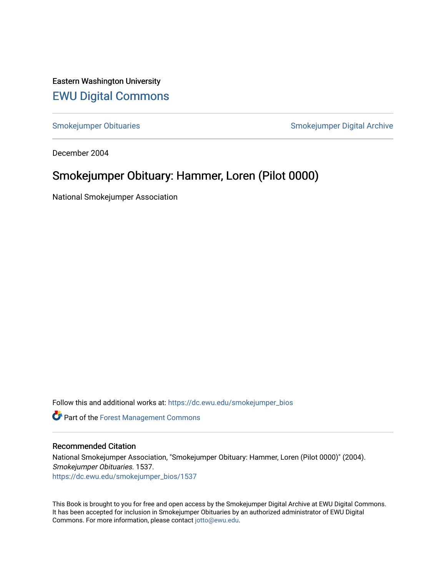Eastern Washington University [EWU Digital Commons](https://dc.ewu.edu/)

[Smokejumper Obituaries](https://dc.ewu.edu/smokejumper_bios) **Smokeyer Community** Smokejumper Digital Archive

December 2004

## Smokejumper Obituary: Hammer, Loren (Pilot 0000)

National Smokejumper Association

Follow this and additional works at: [https://dc.ewu.edu/smokejumper\\_bios](https://dc.ewu.edu/smokejumper_bios?utm_source=dc.ewu.edu%2Fsmokejumper_bios%2F1537&utm_medium=PDF&utm_campaign=PDFCoverPages) 

**Part of the [Forest Management Commons](http://network.bepress.com/hgg/discipline/92?utm_source=dc.ewu.edu%2Fsmokejumper_bios%2F1537&utm_medium=PDF&utm_campaign=PDFCoverPages)** 

## Recommended Citation

National Smokejumper Association, "Smokejumper Obituary: Hammer, Loren (Pilot 0000)" (2004). Smokejumper Obituaries. 1537. [https://dc.ewu.edu/smokejumper\\_bios/1537](https://dc.ewu.edu/smokejumper_bios/1537?utm_source=dc.ewu.edu%2Fsmokejumper_bios%2F1537&utm_medium=PDF&utm_campaign=PDFCoverPages)

This Book is brought to you for free and open access by the Smokejumper Digital Archive at EWU Digital Commons. It has been accepted for inclusion in Smokejumper Obituaries by an authorized administrator of EWU Digital Commons. For more information, please contact [jotto@ewu.edu.](mailto:jotto@ewu.edu)